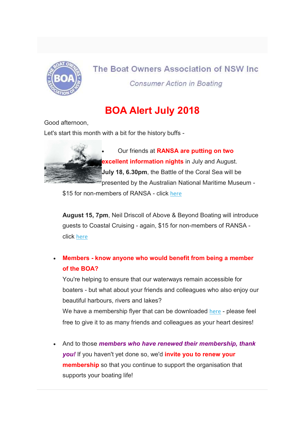

## The Boat Owners Association of NSW Inc. **Consumer Action in Boating**

## BOA Alert July 2018

Good afternoon,

Let's start this month with a bit for the history buffs -



Our friends at RANSA are putting on two excellent information nights in July and August. July 18, 6.30pm, the Battle of the Coral Sea will be presented by the Australian National Maritime Museum -

\$15 for non-members of RANSA - click here

August 15, 7pm, Neil Driscoll of Above & Beyond Boating will introduce guests to Coastal Cruising - again, \$15 for non-members of RANSA click here

## Members - know anyone who would benefit from being a member of the BOA?

You're helping to ensure that our waterways remain accessible for boaters - but what about your friends and colleagues who also enjoy our beautiful harbours, rivers and lakes?

We have a membership flyer that can be downloaded here - please feel free to give it to as many friends and colleagues as your heart desires!

And to those members who have renewed their membership, thank you! If you haven't yet done so, we'd *invite you to renew your* **membership** so that you continue to support the organisation that supports your boating life!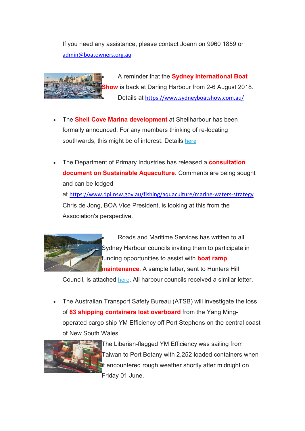If you need any assistance, please contact Joann on 9960 1859 or admin@boatowners.org.au



A reminder that the Sydney International Boat ow is back at Darling Harbour from 2-6 August 2018. Details at https://www.sydneyboatshow.com.au/

- The **Shell Cove Marina development** at Shellharbour has been formally announced. For any members thinking of re-locating southwards, this might be of interest. Details here
- The Department of Primary Industries has released a **consultation** document on Sustainable Aquaculture. Comments are being sought and can be lodged at https://www.dpi.nsw.gov.au/fishing/aquaculture/marine-waters-strategy Chris de Jong, BOA Vice President, is looking at this from the Association's perspective.



 Roads and Maritime Services has written to all Sydney Harbour councils inviting them to participate in funding opportunities to assist with **boat ramp maintenance**. A sample letter, sent to Hunters Hill

Council, is attached here. All harbour councils received a similar letter.

 The Australian Transport Safety Bureau (ATSB) will investigate the loss of 83 shipping containers lost overboard from the Yang Mingoperated cargo ship YM Efficiency off Port Stephens on the central coast of New South Wales.



**The Liberian-flagged YM Efficiency was sailing from** Taiwan to Port Botany with 2,252 loaded containers when **Fit encountered rough weather shortly after midnight on** Friday 01 June.